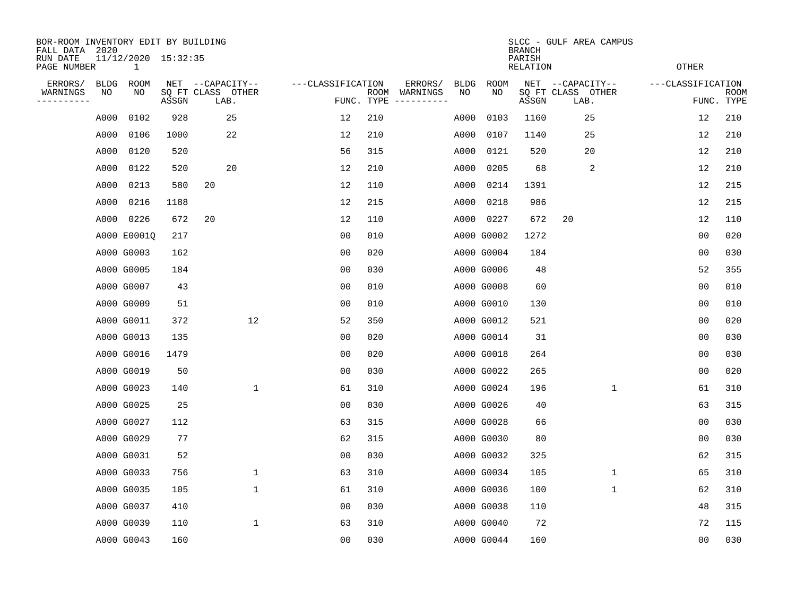| BOR-ROOM INVENTORY EDIT BY BUILDING<br>FALL DATA 2020 |             |                                     |       |                           |              |                   |                    |                         | SLCC - GULF AREA CAMPUS<br><b>BRANCH</b> |             |                           |                           |                   |                           |  |  |  |  |  |
|-------------------------------------------------------|-------------|-------------------------------------|-------|---------------------------|--------------|-------------------|--------------------|-------------------------|------------------------------------------|-------------|---------------------------|---------------------------|-------------------|---------------------------|--|--|--|--|--|
| RUN DATE<br>PAGE NUMBER                               |             | 11/12/2020 15:32:35<br>$\mathbf{1}$ |       |                           |              |                   |                    |                         |                                          |             | PARISH<br><b>RELATION</b> |                           | <b>OTHER</b>      |                           |  |  |  |  |  |
| ERRORS/                                               | <b>BLDG</b> | ROOM                                |       | NET --CAPACITY--          |              | ---CLASSIFICATION |                    | ERRORS/                 | <b>BLDG</b>                              | <b>ROOM</b> |                           | NET --CAPACITY--          | ---CLASSIFICATION |                           |  |  |  |  |  |
| WARNINGS<br>----------                                | NO          | NO                                  | ASSGN | SQ FT CLASS OTHER<br>LAB. |              |                   | ROOM<br>FUNC. TYPE | WARNINGS<br>----------- | NO                                       | NO          | ASSGN                     | SQ FT CLASS OTHER<br>LAB. |                   | <b>ROOM</b><br>FUNC. TYPE |  |  |  |  |  |
|                                                       | A000        | 0102                                | 928   | 25                        |              | 12                | 210                |                         | A000                                     | 0103        | 1160                      | 25                        | 12                | 210                       |  |  |  |  |  |
|                                                       | A000        | 0106                                | 1000  | 22                        |              | 12                | 210                |                         | A000                                     | 0107        | 1140                      | 25                        | 12                | 210                       |  |  |  |  |  |
|                                                       | A000        | 0120                                | 520   |                           |              | 56                | 315                |                         | A000                                     | 0121        | 520                       | 20                        | 12                | 210                       |  |  |  |  |  |
|                                                       | A000        | 0122                                | 520   | 20                        |              | 12                | 210                |                         | A000                                     | 0205        | 68                        | 2                         | 12                | 210                       |  |  |  |  |  |
|                                                       | A000        | 0213                                | 580   | 20                        |              | 12                | 110                |                         | A000                                     | 0214        | 1391                      |                           | 12                | 215                       |  |  |  |  |  |
|                                                       | A000        | 0216                                | 1188  |                           |              | 12                | 215                |                         |                                          | A000 0218   | 986                       |                           | 12                | 215                       |  |  |  |  |  |
|                                                       | A000        | 0226                                | 672   | 20                        |              | 12                | 110                |                         |                                          | A000 0227   | 672                       | 20                        | 12                | 110                       |  |  |  |  |  |
|                                                       |             | A000 E00010                         | 217   |                           |              | 0 <sub>0</sub>    | 010                |                         |                                          | A000 G0002  | 1272                      |                           | 0 <sub>0</sub>    | 020                       |  |  |  |  |  |
|                                                       |             | A000 G0003                          | 162   |                           |              | 0 <sub>0</sub>    | 020                |                         |                                          | A000 G0004  | 184                       |                           | 0 <sub>0</sub>    | 030                       |  |  |  |  |  |
|                                                       |             | A000 G0005                          | 184   |                           |              | 0 <sub>0</sub>    | 030                |                         |                                          | A000 G0006  | 48                        |                           | 52                | 355                       |  |  |  |  |  |
|                                                       |             | A000 G0007                          | 43    |                           |              | 00                | 010                |                         |                                          | A000 G0008  | 60                        |                           | 0 <sub>0</sub>    | 010                       |  |  |  |  |  |
|                                                       |             | A000 G0009                          | 51    |                           |              | 0 <sub>0</sub>    | 010                |                         |                                          | A000 G0010  | 130                       |                           | 0 <sub>0</sub>    | 010                       |  |  |  |  |  |
|                                                       |             | A000 G0011                          | 372   |                           | 12           | 52                | 350                |                         |                                          | A000 G0012  | 521                       |                           | 0 <sub>0</sub>    | 020                       |  |  |  |  |  |
|                                                       |             | A000 G0013                          | 135   |                           |              | 00                | 020                |                         |                                          | A000 G0014  | 31                        |                           | 0 <sub>0</sub>    | 030                       |  |  |  |  |  |
|                                                       |             | A000 G0016                          | 1479  |                           |              | 0 <sub>0</sub>    | 020                |                         |                                          | A000 G0018  | 264                       |                           | 0 <sub>0</sub>    | 030                       |  |  |  |  |  |
|                                                       |             | A000 G0019                          | 50    |                           |              | 0 <sub>0</sub>    | 030                |                         |                                          | A000 G0022  | 265                       |                           | 0 <sub>0</sub>    | 020                       |  |  |  |  |  |
|                                                       |             | A000 G0023                          | 140   |                           | $\mathbf{1}$ | 61                | 310                |                         |                                          | A000 G0024  | 196                       | 1                         | 61                | 310                       |  |  |  |  |  |
|                                                       |             | A000 G0025                          | 25    |                           |              | 00                | 030                |                         |                                          | A000 G0026  | 40                        |                           | 63                | 315                       |  |  |  |  |  |
|                                                       |             | A000 G0027                          | 112   |                           |              | 63                | 315                |                         |                                          | A000 G0028  | 66                        |                           | 0 <sub>0</sub>    | 030                       |  |  |  |  |  |
|                                                       |             | A000 G0029                          | 77    |                           |              | 62                | 315                |                         |                                          | A000 G0030  | 80                        |                           | 0 <sub>0</sub>    | 030                       |  |  |  |  |  |
|                                                       |             | A000 G0031                          | 52    |                           |              | 0 <sub>0</sub>    | 030                |                         |                                          | A000 G0032  | 325                       |                           | 62                | 315                       |  |  |  |  |  |
|                                                       |             | A000 G0033                          | 756   |                           | $\mathbf 1$  | 63                | 310                |                         |                                          | A000 G0034  | 105                       | $\mathbf 1$               | 65                | 310                       |  |  |  |  |  |
|                                                       |             | A000 G0035                          | 105   |                           | 1            | 61                | 310                |                         |                                          | A000 G0036  | 100                       | 1                         | 62                | 310                       |  |  |  |  |  |
|                                                       |             | A000 G0037                          | 410   |                           |              | 0 <sub>0</sub>    | 030                |                         |                                          | A000 G0038  | 110                       |                           | 48                | 315                       |  |  |  |  |  |
|                                                       |             | A000 G0039                          | 110   |                           | $\mathbf{1}$ | 63                | 310                |                         |                                          | A000 G0040  | 72                        |                           | 72                | 115                       |  |  |  |  |  |
|                                                       |             | A000 G0043                          | 160   |                           |              | 0 <sub>0</sub>    | 030                |                         |                                          | A000 G0044  | 160                       |                           | 00                | 030                       |  |  |  |  |  |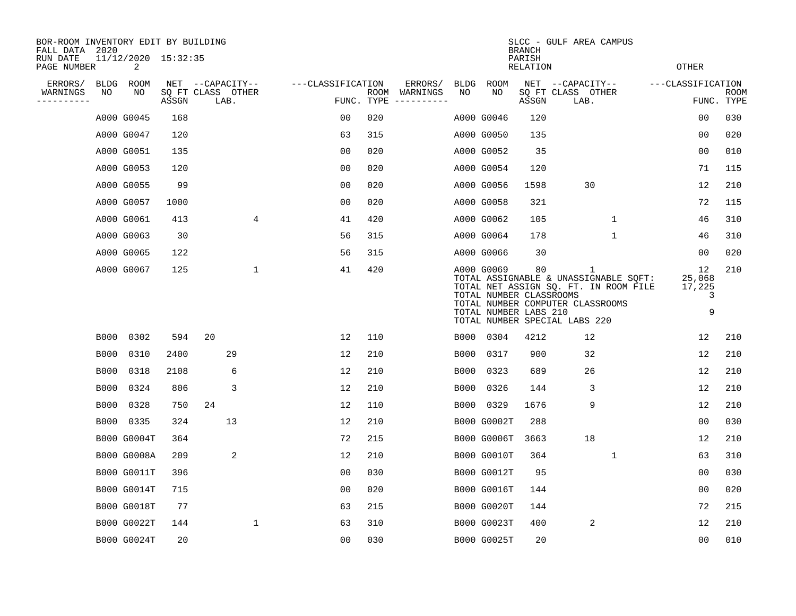| BOR-ROOM INVENTORY EDIT BY BUILDING<br>FALL DATA 2020 |             |                          |       |                           |                |                   |                    |          |             |                                                                | <b>BRANCH</b>             | SLCC - GULF AREA CAMPUS                                                                                                                                  |                   |                                  |             |
|-------------------------------------------------------|-------------|--------------------------|-------|---------------------------|----------------|-------------------|--------------------|----------|-------------|----------------------------------------------------------------|---------------------------|----------------------------------------------------------------------------------------------------------------------------------------------------------|-------------------|----------------------------------|-------------|
| RUN DATE<br>PAGE NUMBER                               |             | 11/12/2020 15:32:35<br>2 |       |                           |                |                   |                    |          |             |                                                                | PARISH<br><b>RELATION</b> |                                                                                                                                                          |                   | <b>OTHER</b>                     |             |
| ERRORS/                                               | <b>BLDG</b> | ROOM                     |       | NET --CAPACITY--          |                | ---CLASSIFICATION |                    | ERRORS/  | <b>BLDG</b> | <b>ROOM</b>                                                    |                           | NET --CAPACITY--                                                                                                                                         | ---CLASSIFICATION |                                  |             |
| WARNINGS<br>--------                                  | NO          | NO                       | ASSGN | SQ FT CLASS OTHER<br>LAB. |                |                   | ROOM<br>FUNC. TYPE | WARNINGS | NO          | NO                                                             | ASSGN                     | SQ FT CLASS OTHER<br>LAB.                                                                                                                                |                   | FUNC. TYPE                       | <b>ROOM</b> |
|                                                       |             | A000 G0045               | 168   |                           |                | 00                | 020                |          |             | A000 G0046                                                     | 120                       |                                                                                                                                                          |                   | 00                               | 030         |
|                                                       |             | A000 G0047               | 120   |                           |                | 63                | 315                |          |             | A000 G0050                                                     | 135                       |                                                                                                                                                          |                   | 0 <sub>0</sub>                   | 020         |
|                                                       |             | A000 G0051               | 135   |                           |                | 0 <sub>0</sub>    | 020                |          |             | A000 G0052                                                     | 35                        |                                                                                                                                                          |                   | 0 <sub>0</sub>                   | 010         |
|                                                       |             | A000 G0053               | 120   |                           |                | 0 <sub>0</sub>    | 020                |          |             | A000 G0054                                                     | 120                       |                                                                                                                                                          |                   | 71                               | 115         |
|                                                       |             | A000 G0055               | 99    |                           |                | 0 <sub>0</sub>    | 020                |          |             | A000 G0056                                                     | 1598                      | 30                                                                                                                                                       |                   | 12                               | 210         |
|                                                       |             | A000 G0057               | 1000  |                           |                | 0 <sub>0</sub>    | 020                |          |             | A000 G0058                                                     | 321                       |                                                                                                                                                          |                   | 72                               | 115         |
|                                                       |             | A000 G0061               | 413   |                           | $\overline{4}$ | 41                | 420                |          |             | A000 G0062                                                     | 105                       | $\mathbf 1$                                                                                                                                              |                   | 46                               | 310         |
|                                                       |             | A000 G0063               | 30    |                           |                | 56                | 315                |          |             | A000 G0064                                                     | 178                       | $\mathbf{1}$                                                                                                                                             |                   | 46                               | 310         |
|                                                       |             | A000 G0065               | 122   |                           |                | 56                | 315                |          |             | A000 G0066                                                     | 30                        |                                                                                                                                                          |                   | 0 <sub>0</sub>                   | 020         |
|                                                       |             | A000 G0067               | 125   |                           | 1              | 41                | 420                |          |             | A000 G0069<br>TOTAL NUMBER CLASSROOMS<br>TOTAL NUMBER LABS 210 | 80                        | 1<br>TOTAL ASSIGNABLE & UNASSIGNABLE SQFT:<br>TOTAL NET ASSIGN SQ. FT. IN ROOM FILE<br>TOTAL NUMBER COMPUTER CLASSROOMS<br>TOTAL NUMBER SPECIAL LABS 220 |                   | 12<br>25,068<br>17,225<br>3<br>9 | 210         |
|                                                       | B000        | 0302                     | 594   | 20                        |                | 12                | 110                |          |             | B000 0304                                                      | 4212                      | 12                                                                                                                                                       |                   | 12                               | 210         |
|                                                       | B000        | 0310                     | 2400  | 29                        |                | 12                | 210                |          | B000        | 0317                                                           | 900                       | 32                                                                                                                                                       |                   | 12                               | 210         |
|                                                       | <b>B000</b> | 0318                     | 2108  | 6                         |                | 12                | 210                |          | B000        | 0323                                                           | 689                       | 26                                                                                                                                                       |                   | 12                               | 210         |
|                                                       | B000        | 0324                     | 806   | 3                         |                | 12                | 210                |          | B000        | 0326                                                           | 144                       | 3                                                                                                                                                        |                   | 12                               | 210         |
|                                                       | B000        | 0328                     | 750   | 24                        |                | 12                | 110                |          | B000        | 0329                                                           | 1676                      | 9                                                                                                                                                        |                   | 12                               | 210         |
|                                                       | B000        | 0335                     | 324   | 13                        |                | 12                | 210                |          |             | B000 G0002T                                                    | 288                       |                                                                                                                                                          |                   | 0 <sub>0</sub>                   | 030         |
|                                                       |             | B000 G0004T              | 364   |                           |                | 72                | 215                |          |             | B000 G0006T                                                    | 3663                      | 18                                                                                                                                                       |                   | 12                               | 210         |
|                                                       |             | <b>B000 G0008A</b>       | 209   | 2                         |                | 12                | 210                |          |             | B000 G0010T                                                    | 364                       | $\mathbf 1$                                                                                                                                              |                   | 63                               | 310         |
|                                                       |             | <b>B000 G0011T</b>       | 396   |                           |                | 0 <sub>0</sub>    | 030                |          |             | B000 G0012T                                                    | 95                        |                                                                                                                                                          |                   | 00                               | 030         |
|                                                       |             | B000 G0014T              | 715   |                           |                | 0 <sub>0</sub>    | 020                |          |             | <b>B000 G0016T</b>                                             | 144                       |                                                                                                                                                          |                   | 0 <sub>0</sub>                   | 020         |
|                                                       |             | <b>B000 G0018T</b>       | 77    |                           |                | 63                | 215                |          |             | <b>B000 G0020T</b>                                             | 144                       |                                                                                                                                                          |                   | 72                               | 215         |
|                                                       |             | B000 G0022T              | 144   |                           | 1              | 63                | 310                |          |             | B000 G0023T                                                    | 400                       | 2                                                                                                                                                        |                   | 12                               | 210         |
|                                                       |             | B000 G0024T              | 20    |                           |                | 0 <sub>0</sub>    | 030                |          |             | B000 G0025T                                                    | 20                        |                                                                                                                                                          |                   | 0 <sub>0</sub>                   | 010         |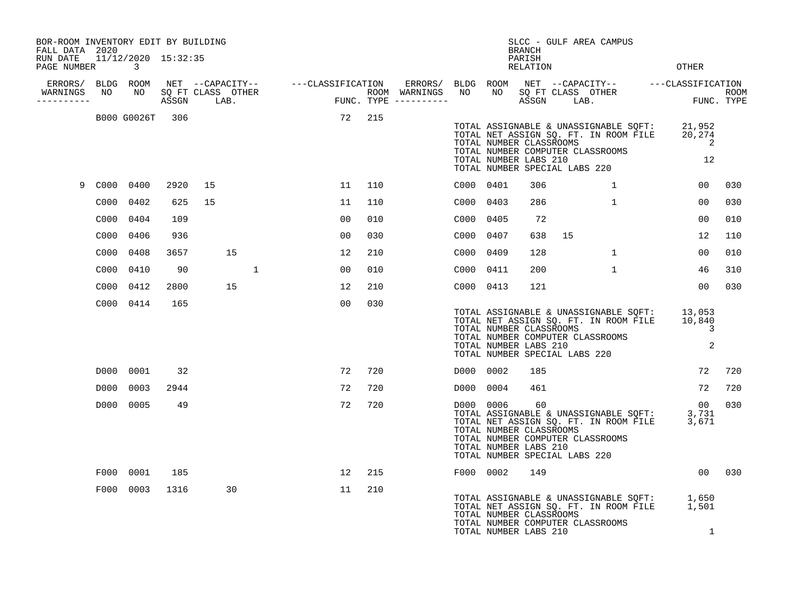| BOR-ROOM INVENTORY EDIT BY BUILDING<br>FALL DATA 2020 |      |                          |      |    |    |              |                |     |                                                                                                                    |           |                                                  | <b>BRANCH</b>      |                               | SLCC - GULF AREA CAMPUS                                                                                            |                                                                                                        |                    |
|-------------------------------------------------------|------|--------------------------|------|----|----|--------------|----------------|-----|--------------------------------------------------------------------------------------------------------------------|-----------|--------------------------------------------------|--------------------|-------------------------------|--------------------------------------------------------------------------------------------------------------------|--------------------------------------------------------------------------------------------------------|--------------------|
| RUN DATE<br>PAGE NUMBER                               |      | 11/12/2020 15:32:35<br>3 |      |    |    |              |                |     |                                                                                                                    |           |                                                  | PARISH<br>RELATION |                               |                                                                                                                    | <b>OTHER</b>                                                                                           |                    |
| ERRORS/ BLDG ROOM                                     |      |                          |      |    |    |              |                |     |                                                                                                                    | BLDG ROOM |                                                  |                    |                               |                                                                                                                    |                                                                                                        |                    |
| WARNINGS<br>----------                                | NO   | NO                       |      |    |    |              |                |     | NET --CAPACITY-- ----CLASSIFICATION ERRORS/<br>SQ FT CLASS OTHER ROOM WARNINGS<br>ASSGN LAB. FUNC. TYPE ---------- | NO        | NO                                               |                    |                               |                                                                                                                    | NET --CAPACITY-- ---CLASSIFICATION<br>SQ FT CLASS OTHER ROOM<br>ASSGN LAB.     FUNC. TYPE              | ROOM<br>FUNC. TYPE |
|                                                       |      | B000 G0026T 306          |      |    |    |              | 72             | 215 |                                                                                                                    |           | TOTAL NUMBER CLASSROOMS<br>TOTAL NUMBER LABS 210 |                    | TOTAL NUMBER SPECIAL LABS 220 | TOTAL ASSIGNABLE & UNASSIGNABLE SQFT:<br>TOTAL NET ASSIGN SQ. FT. IN ROOM FILE<br>TOTAL NUMBER COMPUTER CLASSROOMS | 21,952<br>20,274<br>$\overline{\phantom{0}}^2$<br>12                                                   |                    |
| 9                                                     |      | C000 0400                | 2920 | 15 |    |              | 11             | 110 |                                                                                                                    | C000 0401 |                                                  | 306                |                               | $\mathbf{1}$                                                                                                       | 00                                                                                                     | 030                |
|                                                       | C000 | 0402                     | 625  | 15 |    |              | 11             | 110 |                                                                                                                    | C000 0403 |                                                  | 286                |                               | $\mathbf{1}$                                                                                                       | 00                                                                                                     | 030                |
|                                                       | C000 | 0404                     | 109  |    |    |              | 0 <sub>0</sub> | 010 |                                                                                                                    | C000 0405 |                                                  | 72                 |                               |                                                                                                                    | 0 <sub>0</sub>                                                                                         | 010                |
|                                                       | C000 | 0406                     | 936  |    |    |              | 0 <sub>0</sub> | 030 |                                                                                                                    | C000      | 0407                                             | 638                | 15                            |                                                                                                                    | 12                                                                                                     | 110                |
|                                                       | C000 | 0408                     | 3657 |    | 15 |              | 12             | 210 |                                                                                                                    | C000 0409 |                                                  | 128                |                               | $\mathbf{1}$                                                                                                       | 00                                                                                                     | 010                |
|                                                       | C000 | 0410                     | 90   |    |    | $\mathbf{1}$ | 00             | 010 |                                                                                                                    | C000 0411 |                                                  | 200                |                               | $\mathbf{1}$                                                                                                       | 46                                                                                                     | 310                |
|                                                       | C000 | 0412                     | 2800 |    | 15 |              | 12             | 210 |                                                                                                                    | C000 0413 |                                                  | 121                |                               |                                                                                                                    | 0 <sub>0</sub>                                                                                         | 030                |
|                                                       |      | C000 0414                | 165  |    |    |              | 00             | 030 |                                                                                                                    |           | TOTAL NUMBER CLASSROOMS<br>TOTAL NUMBER LABS 210 |                    | TOTAL NUMBER SPECIAL LABS 220 | TOTAL NUMBER COMPUTER CLASSROOMS                                                                                   | TOTAL ASSIGNABLE & UNASSIGNABLE SQFT: 13,053<br>TOTAL NET ASSIGN SQ. FT. IN ROOM FILE 10,840<br>3<br>2 |                    |
|                                                       | D000 | 0001                     | 32   |    |    |              | 72             | 720 |                                                                                                                    | D000 0002 |                                                  | 185                |                               |                                                                                                                    | 72                                                                                                     | 720                |
|                                                       | D000 | 0003                     | 2944 |    |    |              | 72             | 720 |                                                                                                                    | D000 0004 |                                                  | 461                |                               |                                                                                                                    | 72                                                                                                     | 720                |
|                                                       | D000 | 0005                     | 49   |    |    |              | 72             | 720 |                                                                                                                    | D000 0006 | TOTAL NUMBER CLASSROOMS<br>TOTAL NUMBER LABS 210 | - 60               | TOTAL NUMBER SPECIAL LABS 220 | TOTAL ASSIGNABLE & UNASSIGNABLE SOFT:<br>TOTAL NET ASSIGN SQ. FT. IN ROOM FILE<br>TOTAL NUMBER COMPUTER CLASSROOMS | 00<br>3,731<br>3,671                                                                                   | 030                |
|                                                       | F000 | 0001                     | 185  |    |    |              | 12             | 215 |                                                                                                                    | F000 0002 |                                                  | 149                |                               |                                                                                                                    | 00                                                                                                     | 030                |
|                                                       | F000 | 0003                     | 1316 |    | 30 |              | 11             | 210 |                                                                                                                    |           | TOTAL NUMBER CLASSROOMS<br>TOTAL NUMBER LABS 210 |                    |                               | TOTAL NUMBER COMPUTER CLASSROOMS                                                                                   | TOTAL ASSIGNABLE & UNASSIGNABLE SQFT: 1,650<br>TOTAL NET ASSIGN SQ. FT. IN ROOM FILE 1,501<br>1        |                    |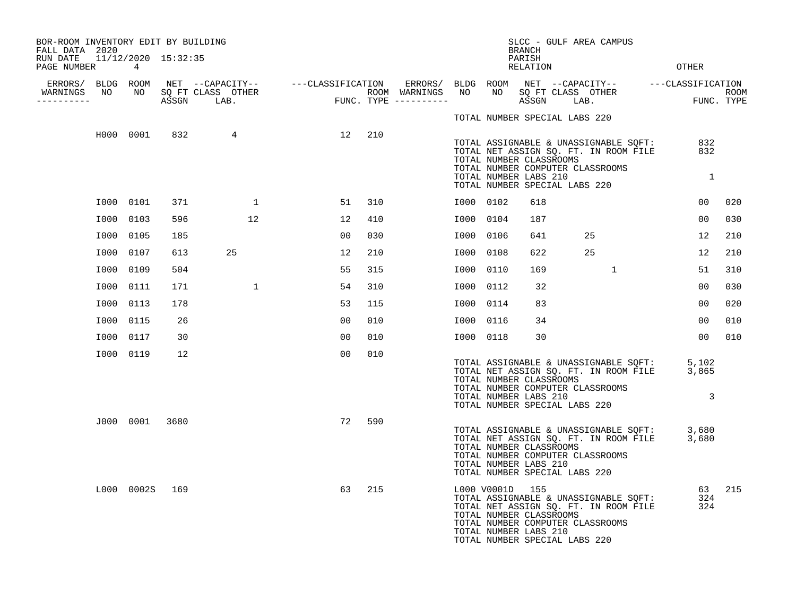| BOR-ROOM INVENTORY EDIT BY BUILDING<br>FALL DATA 2020 |                |      |                                                                                                                     |       |     |                     |           |                 | BRANCH                                                                            | SLCC - GULF AREA CAMPUS                                                                                            |                                                                                                 |             |
|-------------------------------------------------------|----------------|------|---------------------------------------------------------------------------------------------------------------------|-------|-----|---------------------|-----------|-----------------|-----------------------------------------------------------------------------------|--------------------------------------------------------------------------------------------------------------------|-------------------------------------------------------------------------------------------------|-------------|
| RUN DATE  11/12/2020  15:32:35<br>PAGE NUMBER         | 4              |      |                                                                                                                     |       |     |                     |           |                 | PARISH<br>RELATION                                                                |                                                                                                                    | <b>OTHER</b>                                                                                    |             |
| ERRORS/ BLDG ROOM<br>WARNINGS<br>NO                   |                |      | NET --CAPACITY--   ---CLASSIFICATION ERRORS/ BLDG ROOM NET --CAPACITY--   ---CLASSIFICATION<br>NO SQ FT CLASS OTHER |       |     | ROOM WARNINGS       | NO        |                 |                                                                                   | NO SQ FT CLASS OTHER                                                                                               |                                                                                                 | <b>ROOM</b> |
| ----------                                            |                |      | ASSGN LAB.                                                                                                          | FUNC. |     | FUNC. TYPE $------$ |           |                 | ASSGN                                                                             | LAB.                                                                                                               |                                                                                                 | FUNC. TYPE  |
|                                                       |                |      |                                                                                                                     |       |     |                     |           |                 | TOTAL NUMBER SPECIAL LABS 220                                                     |                                                                                                                    |                                                                                                 |             |
|                                                       | H000 0001      | 832  | 4                                                                                                                   | 12    | 210 |                     |           |                 | TOTAL NUMBER CLASSROOMS<br>TOTAL NUMBER LABS 210<br>TOTAL NUMBER SPECIAL LABS 220 | TOTAL ASSIGNABLE & UNASSIGNABLE SQFT:<br>TOTAL NET ASSIGN SQ. FT. IN ROOM FILE<br>TOTAL NUMBER COMPUTER CLASSROOMS | 832<br>832<br>$\overline{1}$                                                                    |             |
|                                                       | I000 0101      | 371  | $\overline{1}$                                                                                                      | 51    | 310 |                     | I000 0102 |                 | 618                                                                               |                                                                                                                    | 00                                                                                              | 020         |
|                                                       | I000 0103      | 596  | 12                                                                                                                  | 12    | 410 |                     | I000      | 0104            | 187                                                                               |                                                                                                                    | 00                                                                                              | 030         |
|                                                       | I000 0105      | 185  |                                                                                                                     | 00    | 030 |                     | I000      | 0106            | 641                                                                               | 25                                                                                                                 | 12                                                                                              | 210         |
| I000                                                  | 0107           | 613  | 25                                                                                                                  | 12    | 210 |                     | I000      | 0108            | 622                                                                               | 25                                                                                                                 | 12                                                                                              | 210         |
| I000                                                  | 0109           | 504  |                                                                                                                     | 55    | 315 |                     | I000      | 0110            | 169                                                                               | $\mathbf{1}$                                                                                                       | 51                                                                                              | 310         |
|                                                       | I000 0111      | 171  | 1                                                                                                                   | 54    | 310 |                     | I000      | 0112            | 32                                                                                |                                                                                                                    | 00                                                                                              | 030         |
|                                                       | I000 0113      | 178  |                                                                                                                     | 53    | 115 |                     | I000 0114 |                 | 83                                                                                |                                                                                                                    | 00                                                                                              | 020         |
|                                                       | I000 0115      | 26   |                                                                                                                     | 00    | 010 |                     | I000      | 0116            | 34                                                                                |                                                                                                                    | 00                                                                                              | 010         |
|                                                       | I000 0117      | 30   |                                                                                                                     | 00    | 010 |                     | I000 0118 |                 | 30                                                                                |                                                                                                                    | 0 <sub>0</sub>                                                                                  | 010         |
|                                                       | I000 0119      | 12   |                                                                                                                     | 00    | 010 |                     |           |                 | TOTAL NUMBER CLASSROOMS<br>TOTAL NUMBER LABS 210<br>TOTAL NUMBER SPECIAL LABS 220 | TOTAL NUMBER COMPUTER CLASSROOMS                                                                                   | TOTAL ASSIGNABLE & UNASSIGNABLE SQFT: 5,102<br>TOTAL NET ASSIGN SQ. FT. IN ROOM FILE 3,865<br>3 |             |
|                                                       | J000 0001      | 3680 |                                                                                                                     | 72    | 590 |                     |           |                 | TOTAL NUMBER CLASSROOMS<br>TOTAL NUMBER LABS 210<br>TOTAL NUMBER SPECIAL LABS 220 | TOTAL ASSIGNABLE & UNASSIGNABLE SQFT:<br>TOTAL NET ASSIGN SQ. FT. IN ROOM FILE<br>TOTAL NUMBER COMPUTER CLASSROOMS | 3,680<br>3,680                                                                                  |             |
|                                                       | L000 0002S 169 |      |                                                                                                                     | 63    | 215 |                     |           | L000 V0001D 155 | TOTAL NUMBER CLASSROOMS<br>TOTAL NUMBER LABS 210<br>TOTAL NUMBER SPECIAL LABS 220 | TOTAL ASSIGNABLE & UNASSIGNABLE SQFT:<br>TOTAL NET ASSIGN SQ. FT. IN ROOM FILE<br>TOTAL NUMBER COMPUTER CLASSROOMS | 63<br>324<br>324                                                                                | 215         |